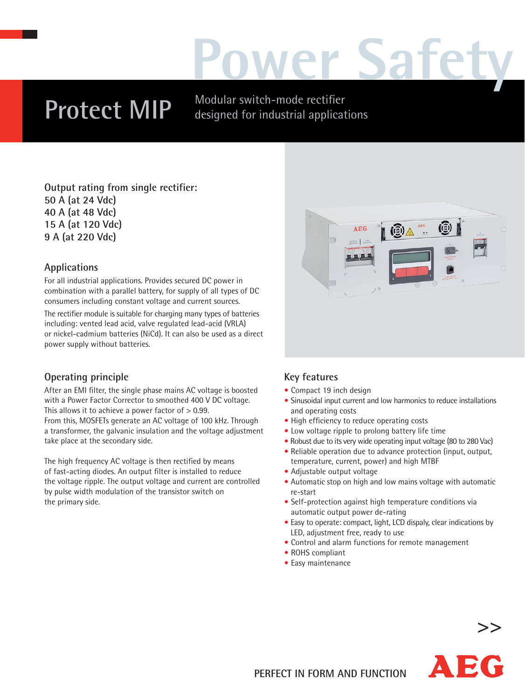# **Power Safety**

## **Protect MIP**

Modular switch-mode rectifier designed for industrial applications

**Output rating from single rectifier: 50 A (at 24 Vdc) 40 A (at 48 Vdc) 15 A (at 120 Vdc) 9 A (at 220 Vdc)**

#### **Applications**

For all industrial applications. Provides secured DC power in combination with a parallel battery, for supply of all types of DC consumers including constant voltage and current sources.

The rectifier module is suitable for charging many types of batteries including: vented lead acid, valve regulated lead-acid (VRLA) or nickel-cadmium batteries (NiCd). It can also be used as a direct power supply without batteries.

#### **Operating principle**

After an EMI filter, the single phase mains AC voltage is boosted with a Power Factor Corrector to smoothed 400 V DC voltage. This allows it to achieve a power factor of > 0.99. From this, MOSFETs generate an AC voltage of 100 kHz. Through a transformer, the galvanic insulation and the voltage adjustment take place at the secondary side.

The high frequency AC voltage is then rectified by means of fast-acting diodes. An output filter is installed to reduce the voltage ripple. The output voltage and current are controlled by pulse width modulation of the transistor switch on the primary side.



#### **Key features**

- Compact 19 inch design
- Sinusoidal input current and low harmonics to reduce installations and operating costs
- High efficiency to reduce operating costs
- Low voltage ripple to prolong battery life time
- Robust due to its very wide operating input voltage (80 to 280 Vac)
- Reliable operation due to advance protection (input, output, temperature, current, power) and high MTBF
- Adjustable output voltage
- Automatic stop on high and low mains voltage with automatic re-start
- Self-protection against high temperature conditions via automatic output power de-rating
- Easy to operate: compact, light, LCD dispaly, clear indications by LED, adjustment free, ready to use
- Control and alarm functions for remote management
- ROHS compliant
- Easy maintenance